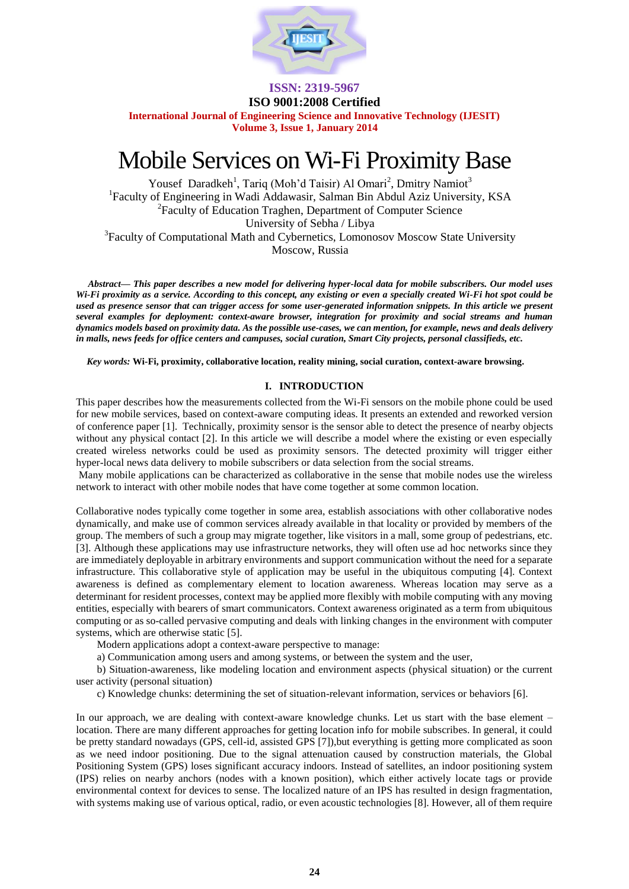

**ISO 9001:2008 Certified**

**International Journal of Engineering Science and Innovative Technology (IJESIT) Volume 3, Issue 1, January 2014**

# Mobile Services on Wi-Fi Proximity Base

Yousef Daradkeh<sup>1</sup>, Tariq (Moh'd Taisir) Al Omari<sup>2</sup>, Dmitry Namiot<sup>3</sup> <sup>1</sup>Faculty of Engineering in Wadi Addawasir, Salman Bin Abdul Aziz University, KSA <sup>2</sup> Faculty of Education Traghen, Department of Computer Science University of Sebha / Libya

<sup>3</sup>Faculty of Computational Math and Cybernetics, Lomonosov Moscow State University Moscow, Russia

 *Abstract— This paper describes a new model for delivering hyper-local data for mobile subscribers. Our model uses Wi-Fi proximity as a service. According to this concept, any existing or even a specially created Wi-Fi hot spot could be used as presence sensor that can trigger access for some user-generated information snippets. In this article we present several examples for deployment: context-aware browser, integration for proximity and social streams and human dynamics models based on proximity data. As the possible use-cases, we can mention, for example, news and deals delivery in malls, news feeds for office centers and campuses, social curation, Smart City projects, personal classifieds, etc.* 

*Key words:* **Wi-Fi, proximity, collaborative location, reality mining, social curation, context-aware browsing.**

### **I. INTRODUCTION**

This paper describes how the measurements collected from the Wi-Fi sensors on the mobile phone could be used for new mobile services, based on context-aware computing ideas. It presents an extended and reworked version of conference paper [1]. Technically, proximity sensor is the sensor able to detect the presence of nearby objects without any physical contact [2]. In this article we will describe a model where the existing or even especially created wireless networks could be used as proximity sensors. The detected proximity will trigger either hyper-local news data delivery to mobile subscribers or data selection from the social streams.

Many mobile applications can be characterized as collaborative in the sense that mobile nodes use the wireless network to interact with other mobile nodes that have come together at some common location.

Collaborative nodes typically come together in some area, establish associations with other collaborative nodes dynamically, and make use of common services already available in that locality or provided by members of the group. The members of such a group may migrate together, like visitors in a mall, some group of pedestrians, etc. [3]. Although these applications may use infrastructure networks, they will often use ad hoc networks since they are immediately deployable in arbitrary environments and support communication without the need for a separate infrastructure. This collaborative style of application may be useful in the ubiquitous computing [4]. Context awareness is defined as complementary element to location awareness. Whereas location may serve as a determinant for resident processes, context may be applied more flexibly with mobile computing with any moving entities, especially with bearers of smart communicators. Context awareness originated as a term from ubiquitous computing or as so-called pervasive computing and deals with linking changes in the environment with computer systems, which are otherwise static [5].

Modern applications adopt a context-aware perspective to manage:

a) Communication among users and among systems, or between the system and the user,

b) Situation-awareness, like modeling location and environment aspects (physical situation) or the current user activity (personal situation)

c) Knowledge chunks: determining the set of situation-relevant information, services or behaviors [6].

In our approach, we are dealing with context-aware knowledge chunks. Let us start with the base element – location. There are many different approaches for getting location info for mobile subscribes. In general, it could be pretty standard nowadays (GPS, cell-id, assisted GPS [7]),but everything is getting more complicated as soon as we need indoor positioning. Due to the signal attenuation caused by construction materials, the Global Positioning System (GPS) loses significant accuracy indoors. Instead of satellites, an indoor positioning system (IPS) relies on nearby anchors (nodes with a known position), which either actively locate tags or provide environmental context for devices to sense. The localized nature of an IPS has resulted in design fragmentation, with systems making use of various optical, radio, or even acoustic technologies [8]. However, all of them require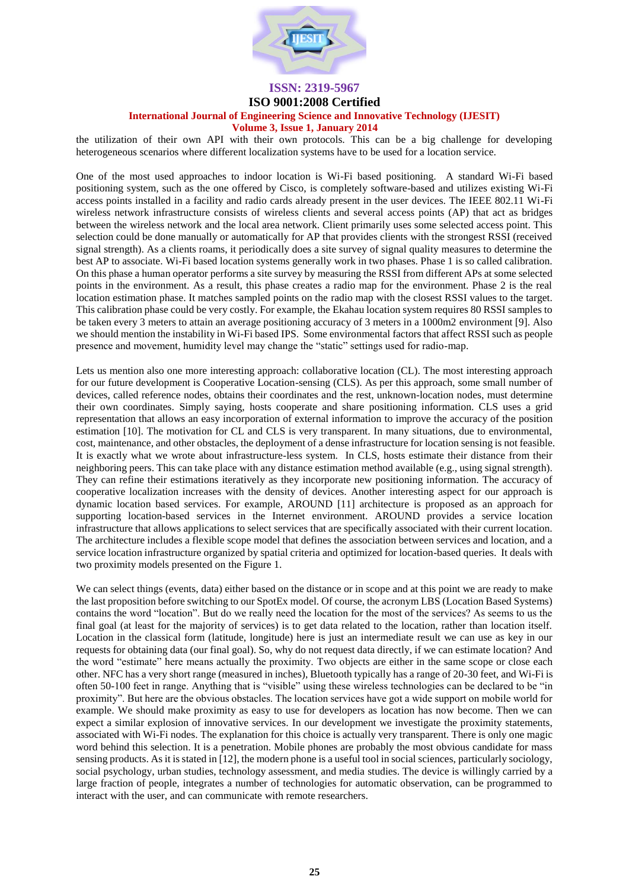

#### **ISO 9001:2008 Certified**

# **International Journal of Engineering Science and Innovative Technology (IJESIT)**

#### **Volume 3, Issue 1, January 2014**

the utilization of their own API with their own protocols. This can be a big challenge for developing heterogeneous scenarios where different localization systems have to be used for a location service.

One of the most used approaches to indoor location is Wi-Fi based positioning. A standard Wi-Fi based positioning system, such as the one offered by Cisco, is completely software-based and utilizes existing Wi-Fi access points installed in a facility and radio cards already present in the user devices. The IEEE 802.11 Wi-Fi wireless network infrastructure consists of wireless clients and several access points (AP) that act as bridges between the wireless network and the local area network. Client primarily uses some selected access point. This selection could be done manually or automatically for AP that provides clients with the strongest RSSI (received signal strength). As a clients roams, it periodically does a site survey of signal quality measures to determine the best AP to associate. Wi-Fi based location systems generally work in two phases. Phase 1 is so called calibration. On this phase a human operator performs a site survey by measuring the RSSI from different APs at some selected points in the environment. As a result, this phase creates a radio map for the environment. Phase 2 is the real location estimation phase. It matches sampled points on the radio map with the closest RSSI values to the target. This calibration phase could be very costly. For example, the Ekahau location system requires 80 RSSI samples to be taken every 3 meters to attain an average positioning accuracy of 3 meters in a 1000m2 environment [9]. Also we should mention the instability in Wi-Fi based IPS. Some environmental factors that affect RSSI such as people presence and movement, humidity level may change the "static" settings used for radio-map.

Lets us mention also one more interesting approach: collaborative location (CL). The most interesting approach for our future development is Cooperative Location-sensing (CLS). As per this approach, some small number of devices, called reference nodes, obtains their coordinates and the rest, unknown-location nodes, must determine their own coordinates. Simply saying, hosts cooperate and share positioning information. CLS uses a grid representation that allows an easy incorporation of external information to improve the accuracy of the position estimation [10]. The motivation for CL and CLS is very transparent. In many situations, due to environmental, cost, maintenance, and other obstacles, the deployment of a dense infrastructure for location sensing is not feasible. It is exactly what we wrote about infrastructure-less system. In CLS, hosts estimate their distance from their neighboring peers. This can take place with any distance estimation method available (e.g., using signal strength). They can refine their estimations iteratively as they incorporate new positioning information. The accuracy of cooperative localization increases with the density of devices. Another interesting aspect for our approach is dynamic location based services. For example, AROUND [11] architecture is proposed as an approach for supporting location-based services in the Internet environment. AROUND provides a service location infrastructure that allows applications to select services that are specifically associated with their current location. The architecture includes a flexible scope model that defines the association between services and location, and a service location infrastructure organized by spatial criteria and optimized for location-based queries. It deals with two proximity models presented on the Figure 1.

We can select things (events, data) either based on the distance or in scope and at this point we are ready to make the last proposition before switching to our SpotEx model. Of course, the acronym LBS (Location Based Systems) contains the word "location". But do we really need the location for the most of the services? As seems to us the final goal (at least for the majority of services) is to get data related to the location, rather than location itself. Location in the classical form (latitude, longitude) here is just an intermediate result we can use as key in our requests for obtaining data (our final goal). So, why do not request data directly, if we can estimate location? And the word "estimate" here means actually the proximity. Two objects are either in the same scope or close each other. NFC has a very short range (measured in inches), Bluetooth typically has a range of 20-30 feet, and Wi-Fi is often 50-100 feet in range. Anything that is "visible" using these wireless technologies can be declared to be "in proximity". But here are the obvious obstacles. The location services have got a wide support on mobile world for example. We should make proximity as easy to use for developers as location has now become. Then we can expect a similar explosion of innovative services. In our development we investigate the proximity statements, associated with Wi-Fi nodes. The explanation for this choice is actually very transparent. There is only one magic word behind this selection. It is a penetration. Mobile phones are probably the most obvious candidate for mass sensing products. As it is stated in [12], the modern phone is a useful tool in social sciences, particularly sociology, social psychology, urban studies, technology assessment, and media studies. The device is willingly carried by a large fraction of people, integrates a number of technologies for automatic observation, can be programmed to interact with the user, and can communicate with remote researchers.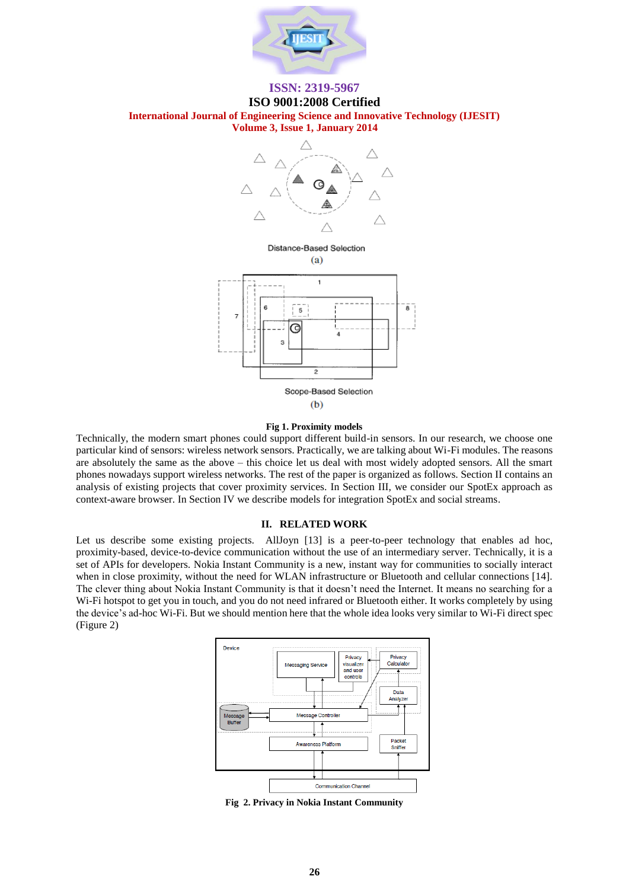

# **ISO 9001:2008 Certified International Journal of Engineering Science and Innovative Technology (IJESIT)**

**Volume 3, Issue 1, January 2014**



Distance-Based Selection  $(a)$ 



#### **Fig 1. Proximity models**

Technically, the modern smart phones could support different build-in sensors. In our research, we choose one particular kind of sensors: wireless network sensors. Practically, we are talking about Wi-Fi modules. The reasons are absolutely the same as the above – this choice let us deal with most widely adopted sensors. All the smart phones nowadays support wireless networks. The rest of the paper is organized as follows. Section II contains an analysis of existing projects that cover proximity services. In Section III, we consider our SpotEx approach as context-aware browser. In Section IV we describe models for integration SpotEx and social streams.

#### **II. RELATED WORK**

Let us describe some existing projects. All Joyn [13] is a peer-to-peer technology that enables ad hoc, proximity-based, device-to-device communication without the use of an intermediary server. Technically, it is a set of APIs for developers. Nokia Instant Community is a new, instant way for communities to socially interact when in close proximity, without the need for WLAN infrastructure or Bluetooth and cellular connections [14]. The clever thing about Nokia Instant Community is that it doesn't need the Internet. It means no searching for a W<sub>i-Fi</sub> hotspot to get you in touch, and you do not need infrared or Bluetooth either. It works completely by using the device's ad-hoc Wi-Fi. But we should mention here that the whole idea looks very similar to Wi-Fi direct spec (Figure 2)



**Fig 2. Privacy in Nokia Instant Community**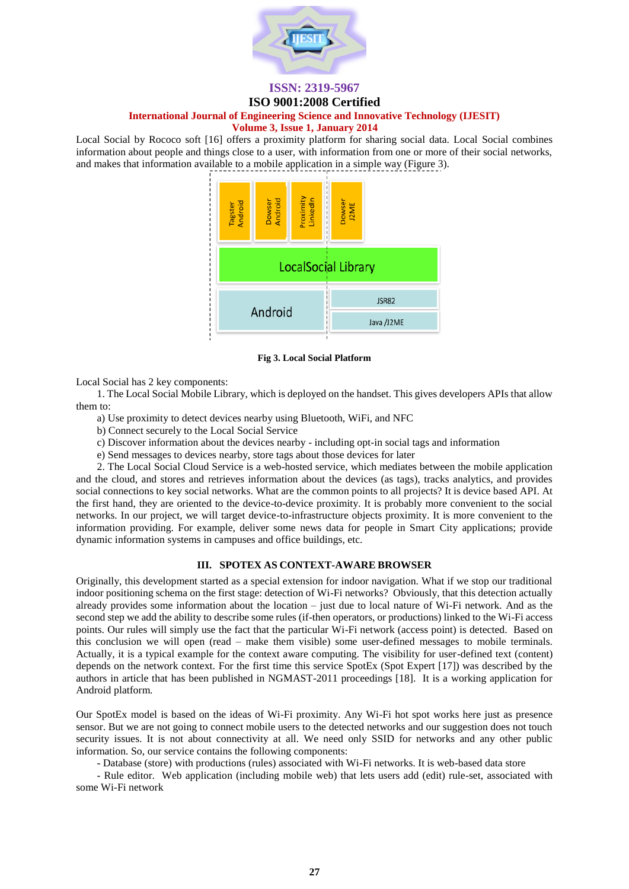

## **ISO 9001:2008 Certified**

### **International Journal of Engineering Science and Innovative Technology (IJESIT)**

#### **Volume 3, Issue 1, January 2014**

Local Social by Rococo soft [16] offers a proximity platform for sharing social data. Local Social combines information about people and things close to a user, with information from one or more of their social networks, and makes that information available to a mobile application in a simple way (Figure 3).



**Fig 3. Local Social Platform**

Local Social has 2 key components:

1. The Local Social Mobile Library, which is deployed on the handset. This gives developers APIs that allow them to:

a) Use proximity to detect devices nearby using Bluetooth, WiFi, and NFC

b) Connect securely to the Local Social Service

c) Discover information about the devices nearby - including opt-in social tags and information

e) Send messages to devices nearby, store tags about those devices for later

2. The Local Social Cloud Service is a web-hosted service, which mediates between the mobile application and the cloud, and stores and retrieves information about the devices (as tags), tracks analytics, and provides social connections to key social networks. What are the common points to all projects? It is device based API. At the first hand, they are oriented to the device-to-device proximity. It is probably more convenient to the social networks. In our project, we will target device-to-infrastructure objects proximity. It is more convenient to the information providing. For example, deliver some news data for people in Smart City applications; provide dynamic information systems in campuses and office buildings, etc.

#### **III. SPOTEX AS CONTEXT-AWARE BROWSER**

Originally, this development started as a special extension for indoor navigation. What if we stop our traditional indoor positioning schema on the first stage: detection of Wi-Fi networks? Obviously, that this detection actually already provides some information about the location – just due to local nature of Wi-Fi network. And as the second step we add the ability to describe some rules (if-then operators, or productions) linked to the Wi-Fi access points. Our rules will simply use the fact that the particular Wi-Fi network (access point) is detected. Based on this conclusion we will open (read – make them visible) some user-defined messages to mobile terminals. Actually, it is a typical example for the context aware computing. The visibility for user-defined text (content) depends on the network context. For the first time this service SpotEx (Spot Expert [17]) was described by the authors in article that has been published in NGMAST-2011 proceedings [18]. It is a working application for Android platform.

Our SpotEx model is based on the ideas of Wi-Fi proximity. Any Wi-Fi hot spot works here just as presence sensor. But we are not going to connect mobile users to the detected networks and our suggestion does not touch security issues. It is not about connectivity at all. We need only SSID for networks and any other public information. So, our service contains the following components:

- Database (store) with productions (rules) associated with Wi-Fi networks. It is web-based data store

- Rule editor. Web application (including mobile web) that lets users add (edit) rule-set, associated with some Wi-Fi network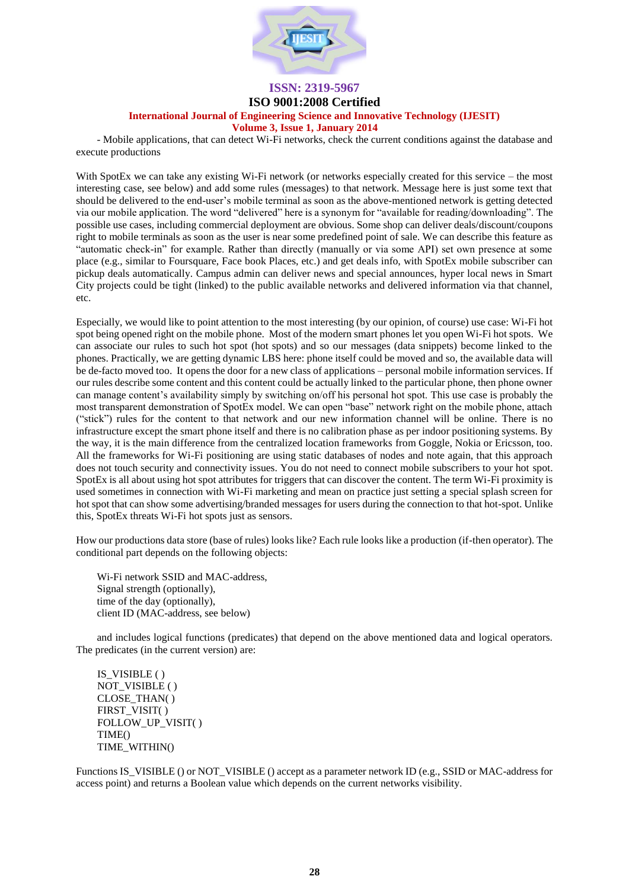

### **ISO 9001:2008 Certified**

# **International Journal of Engineering Science and Innovative Technology (IJESIT)**

#### **Volume 3, Issue 1, January 2014**

- Mobile applications, that can detect Wi-Fi networks, check the current conditions against the database and execute productions

With SpotEx we can take any existing Wi-Fi network (or networks especially created for this service – the most interesting case, see below) and add some rules (messages) to that network. Message here is just some text that should be delivered to the end-user's mobile terminal as soon as the above-mentioned network is getting detected via our mobile application. The word "delivered" here is a synonym for "available for reading/downloading". The possible use cases, including commercial deployment are obvious. Some shop can deliver deals/discount/coupons right to mobile terminals as soon as the user is near some predefined point of sale. We can describe this feature as "automatic check-in" for example. Rather than directly (manually or via some API) set own presence at some place (e.g., similar to Foursquare, Face book Places, etc.) and get deals info, with SpotEx mobile subscriber can pickup deals automatically. Campus admin can deliver news and special announces, hyper local news in Smart City projects could be tight (linked) to the public available networks and delivered information via that channel, etc.

Especially, we would like to point attention to the most interesting (by our opinion, of course) use case: Wi-Fi hot spot being opened right on the mobile phone. Most of the modern smart phones let you open Wi-Fi hot spots. We can associate our rules to such hot spot (hot spots) and so our messages (data snippets) become linked to the phones. Practically, we are getting dynamic LBS here: phone itself could be moved and so, the available data will be de-facto moved too. It opens the door for a new class of applications – personal mobile information services. If our rules describe some content and this content could be actually linked to the particular phone, then phone owner can manage content's availability simply by switching on/off his personal hot spot. This use case is probably the most transparent demonstration of SpotEx model. We can open "base" network right on the mobile phone, attach ("stick") rules for the content to that network and our new information channel will be online. There is no infrastructure except the smart phone itself and there is no calibration phase as per indoor positioning systems. By the way, it is the main difference from the centralized location frameworks from Goggle, Nokia or Ericsson, too. All the frameworks for Wi-Fi positioning are using static databases of nodes and note again, that this approach does not touch security and connectivity issues. You do not need to connect mobile subscribers to your hot spot. SpotEx is all about using hot spot attributes for triggers that can discover the content. The term Wi-Fi proximity is used sometimes in connection with Wi-Fi marketing and mean on practice just setting a special splash screen for hot spot that can show some advertising/branded messages for users during the connection to that hot-spot. Unlike this, SpotEx threats Wi-Fi hot spots just as sensors.

How our productions data store (base of rules) looks like? Each rule looks like a production (if-then operator). The conditional part depends on the following objects:

Wi-Fi network SSID and MAC-address, Signal strength (optionally), time of the day (optionally), client ID (MAC-address, see below)

and includes logical functions (predicates) that depend on the above mentioned data and logical operators. The predicates (in the current version) are:

IS\_VISIBLE ( ) NOT\_VISIBLE ( ) CLOSE\_THAN( ) FIRST\_VISIT( ) FOLLOW UP VISIT( ) TIME() TIME\_WITHIN()

Functions IS\_VISIBLE () or NOT\_VISIBLE () accept as a parameter network ID (e.g., SSID or MAC-address for access point) and returns a Boolean value which depends on the current networks visibility.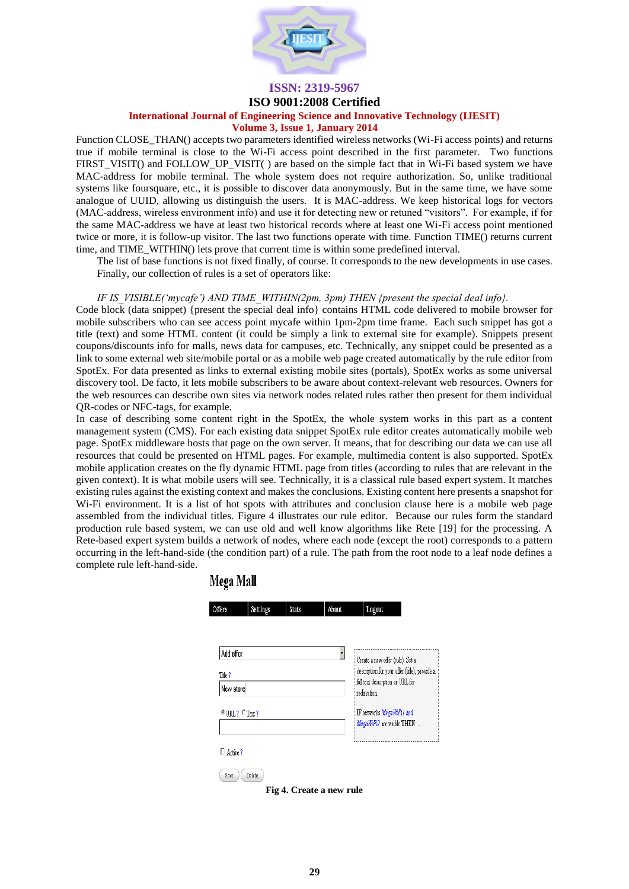

#### **ISO 9001:2008 Certified**

### **International Journal of Engineering Science and Innovative Technology (IJESIT)**

#### **Volume 3, Issue 1, January 2014**

Function CLOSE\_THAN() accepts two parameters identified wireless networks (Wi-Fi access points) and returns true if mobile terminal is close to the Wi-Fi access point described in the first parameter. Two functions FIRST\_VISIT() and FOLLOW\_UP\_VISIT( ) are based on the simple fact that in Wi-Fi based system we have MAC-address for mobile terminal. The whole system does not require authorization. So, unlike traditional systems like foursquare, etc., it is possible to discover data anonymously. But in the same time, we have some analogue of UUID, allowing us distinguish the users. It is MAC-address. We keep historical logs for vectors (MAC-address, wireless environment info) and use it for detecting new or retuned "visitors". For example, if for the same MAC-address we have at least two historical records where at least one Wi-Fi access point mentioned twice or more, it is follow-up visitor. The last two functions operate with time. Function TIME() returns current time, and TIME\_WITHIN() lets prove that current time is within some predefined interval.

The list of base functions is not fixed finally, of course. It corresponds to the new developments in use cases. Finally, our collection of rules is a set of operators like:

#### *IF IS\_VISIBLE('mycafe') AND TIME\_WITHIN(2pm, 3pm) THEN {present the special deal info}.*

Code block (data snippet) {present the special deal info} contains HTML code delivered to mobile browser for mobile subscribers who can see access point mycafe within 1pm-2pm time frame. Each such snippet has got a title (text) and some HTML content (it could be simply a link to external site for example). Snippets present coupons/discounts info for malls, news data for campuses, etc. Technically, any snippet could be presented as a link to some external web site/mobile portal or as a mobile web page created automatically by the rule editor from SpotEx. For data presented as links to external existing mobile sites (portals), SpotEx works as some universal discovery tool. De facto, it lets mobile subscribers to be aware about context-relevant web resources. Owners for the web resources can describe own sites via network nodes related rules rather then present for them individual QR-codes or NFC-tags, for example.

In case of describing some content right in the SpotEx, the whole system works in this part as a content management system (CMS). For each existing data snippet SpotEx rule editor creates automatically mobile web page. SpotEx middleware hosts that page on the own server. It means, that for describing our data we can use all resources that could be presented on HTML pages. For example, multimedia content is also supported. SpotEx mobile application creates on the fly dynamic HTML page from titles (according to rules that are relevant in the given context). It is what mobile users will see. Technically, it is a classical rule based expert system. It matches existing rules against the existing context and makes the conclusions. Existing content here presents a snapshot for Wi-Fi environment. It is a list of hot spots with attributes and conclusion clause here is a mobile web page assembled from the individual titles. Figure 4 illustrates our rule editor. Because our rules form the standard production rule based system, we can use old and well know algorithms like Rete [19] for the processing. A Rete-based expert system builds a network of nodes, where each node (except the root) corresponds to a pattern occurring in the left-hand-side (the condition part) of a rule. The path from the root node to a leaf node defines a complete rule left-hand-side.

Mega Mall

| Offers               | Settings | Stats | About | Logout                                          |  |
|----------------------|----------|-------|-------|-------------------------------------------------|--|
|                      |          |       |       |                                                 |  |
| Add offer            |          |       |       | Create a new offer (rule). Set a                |  |
| Title?               |          |       |       | description for your offer (title), provide a   |  |
| New store            |          |       |       | full text description or URL for<br>redirection |  |
| $C$ URL ? $C$ Text ? |          |       |       | IF networks MegaWiFil and                       |  |
|                      |          |       |       | MegaWiFi2 are visible THEN                      |  |
| $\Box$ Active $?$    |          |       |       |                                                 |  |
| Save                 | Delete   |       |       |                                                 |  |

**Fig 4. Create a new rule**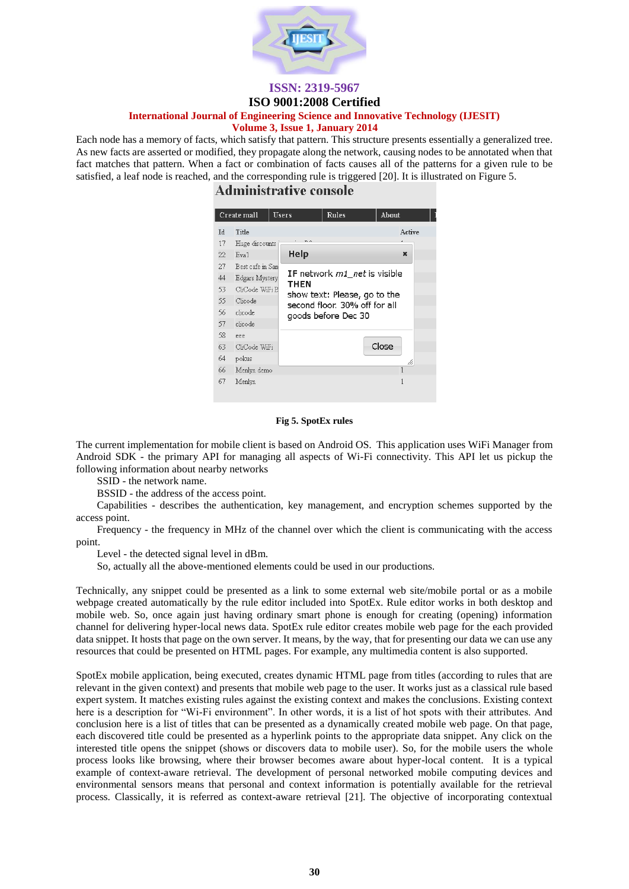

# **ISO 9001:2008 Certified**

### **International Journal of Engineering Science and Innovative Technology (IJESIT)**

#### **Volume 3, Issue 1, January 2014**

Each node has a memory of facts, which satisfy that pattern. This structure presents essentially a generalized tree. As new facts are asserted or modified, they propagate along the network, causing nodes to be annotated when that fact matches that pattern. When a fact or combination of facts causes all of the patterns for a given rule to be satisfied, a leaf node is reached, and the corresponding rule is triggered [20]. It is illustrated on Figure 5.

# **Administrative console**

| Create mall                                          |                  | Users       | <b>Rules</b>                                                                         | About        |  |  |  |
|------------------------------------------------------|------------------|-------------|--------------------------------------------------------------------------------------|--------------|--|--|--|
| <b>Id</b>                                            | Title            |             |                                                                                      | Active       |  |  |  |
| 17                                                   | Huge discounts   |             |                                                                                      |              |  |  |  |
| 22.                                                  | Eva1             | Help        |                                                                                      | $\mathbf x$  |  |  |  |
| 27                                                   | Best cafe in San |             |                                                                                      |              |  |  |  |
| IF network m1 net is visible<br>44<br>Edgars Mystery |                  |             |                                                                                      |              |  |  |  |
| 53.                                                  | CliCode WiFi B   | <b>THEN</b> |                                                                                      |              |  |  |  |
| 55.                                                  | Clicode          |             | show text: Please, go to the<br>second floor. 30% off for all<br>goods before Dec 30 |              |  |  |  |
| 56.                                                  | clicode          |             |                                                                                      |              |  |  |  |
| 57                                                   | clicode          |             |                                                                                      |              |  |  |  |
| 58                                                   | eee              |             |                                                                                      |              |  |  |  |
| 63                                                   | CliCode WiFi     |             | Close                                                                                |              |  |  |  |
| 64                                                   | pokus            | /i,         |                                                                                      |              |  |  |  |
| 66                                                   | Menlyn demo      |             |                                                                                      | $\mathbf{1}$ |  |  |  |
| 67                                                   | Menlyn           |             |                                                                                      | 1            |  |  |  |

#### **Fig 5. SpotEx rules**

The current implementation for mobile client is based on Android OS. This application uses WiFi Manager from Android SDK - the primary API for managing all aspects of Wi-Fi connectivity. This API let us pickup the following information about nearby networks

SSID - the network name.

BSSID - the address of the access point.

Capabilities - describes the authentication, key management, and encryption schemes supported by the access point.

Frequency - the frequency in MHz of the channel over which the client is communicating with the access point.

Level - the detected signal level in dBm.

So, actually all the above-mentioned elements could be used in our productions.

Technically, any snippet could be presented as a link to some external web site/mobile portal or as a mobile webpage created automatically by the rule editor included into SpotEx. Rule editor works in both desktop and mobile web. So, once again just having ordinary smart phone is enough for creating (opening) information channel for delivering hyper-local news data. SpotEx rule editor creates mobile web page for the each provided data snippet. It hosts that page on the own server. It means, by the way, that for presenting our data we can use any resources that could be presented on HTML pages. For example, any multimedia content is also supported.

SpotEx mobile application, being executed, creates dynamic HTML page from titles (according to rules that are relevant in the given context) and presents that mobile web page to the user. It works just as a classical rule based expert system. It matches existing rules against the existing context and makes the conclusions. Existing context here is a description for "Wi-Fi environment". In other words, it is a list of hot spots with their attributes. And conclusion here is a list of titles that can be presented as a dynamically created mobile web page. On that page, each discovered title could be presented as a hyperlink points to the appropriate data snippet. Any click on the interested title opens the snippet (shows or discovers data to mobile user). So, for the mobile users the whole process looks like browsing, where their browser becomes aware about hyper-local content. It is a typical example of context-aware retrieval. The development of personal networked mobile computing devices and environmental sensors means that personal and context information is potentially available for the retrieval process. Classically, it is referred as context-aware retrieval [21]. The objective of incorporating contextual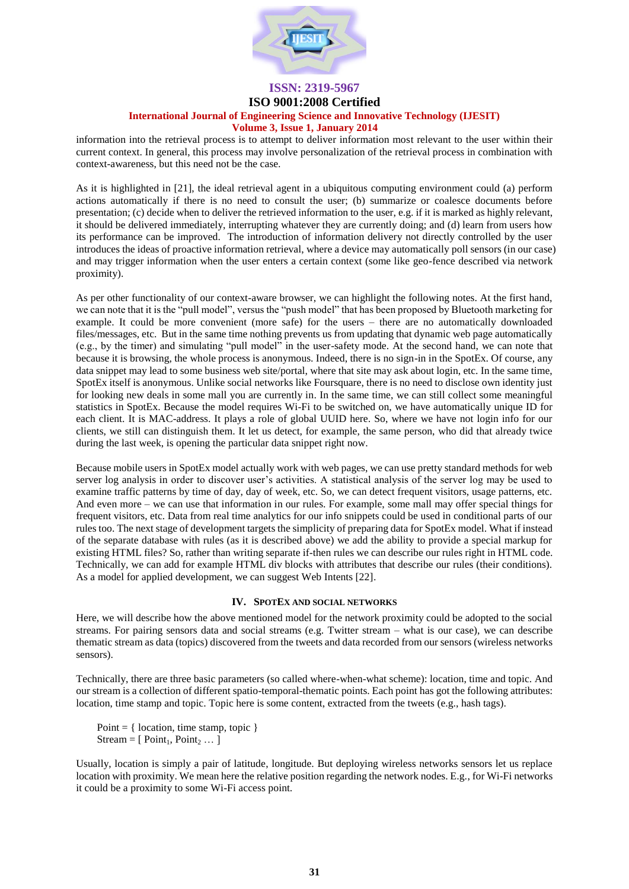

#### **ISO 9001:2008 Certified**

# **International Journal of Engineering Science and Innovative Technology (IJESIT)**

#### **Volume 3, Issue 1, January 2014**

information into the retrieval process is to attempt to deliver information most relevant to the user within their current context. In general, this process may involve personalization of the retrieval process in combination with context-awareness, but this need not be the case.

As it is highlighted in [21], the ideal retrieval agent in a ubiquitous computing environment could (a) perform actions automatically if there is no need to consult the user; (b) summarize or coalesce documents before presentation; (c) decide when to deliver the retrieved information to the user, e.g. if it is marked as highly relevant, it should be delivered immediately, interrupting whatever they are currently doing; and (d) learn from users how its performance can be improved. The introduction of information delivery not directly controlled by the user introduces the ideas of proactive information retrieval, where a device may automatically poll sensors (in our case) and may trigger information when the user enters a certain context (some like geo-fence described via network proximity).

As per other functionality of our context-aware browser, we can highlight the following notes. At the first hand, we can note that it is the "pull model", versus the "push model" that has been proposed by Bluetooth marketing for example. It could be more convenient (more safe) for the users – there are no automatically downloaded files/messages, etc. But in the same time nothing prevents us from updating that dynamic web page automatically (e.g., by the timer) and simulating "pull model" in the user-safety mode. At the second hand, we can note that because it is browsing, the whole process is anonymous. Indeed, there is no sign-in in the SpotEx. Of course, any data snippet may lead to some business web site/portal, where that site may ask about login, etc. In the same time, SpotEx itself is anonymous. Unlike social networks like Foursquare, there is no need to disclose own identity just for looking new deals in some mall you are currently in. In the same time, we can still collect some meaningful statistics in SpotEx. Because the model requires Wi-Fi to be switched on, we have automatically unique ID for each client. It is MAC-address. It plays a role of global UUID here. So, where we have not login info for our clients, we still can distinguish them. It let us detect, for example, the same person, who did that already twice during the last week, is opening the particular data snippet right now.

Because mobile users in SpotEx model actually work with web pages, we can use pretty standard methods for web server log analysis in order to discover user's activities. A statistical analysis of the server log may be used to examine traffic patterns by time of day, day of week, etc. So, we can detect frequent visitors, usage patterns, etc. And even more – we can use that information in our rules. For example, some mall may offer special things for frequent visitors, etc. Data from real time analytics for our info snippets could be used in conditional parts of our rules too. The next stage of development targets the simplicity of preparing data for SpotEx model. What if instead of the separate database with rules (as it is described above) we add the ability to provide a special markup for existing HTML files? So, rather than writing separate if-then rules we can describe our rules right in HTML code. Technically, we can add for example HTML div blocks with attributes that describe our rules (their conditions). As a model for applied development, we can suggest Web Intents [22].

#### **IV. SPOTEX AND SOCIAL NETWORKS**

Here, we will describe how the above mentioned model for the network proximity could be adopted to the social streams. For pairing sensors data and social streams (e.g. Twitter stream – what is our case), we can describe thematic stream as data (topics) discovered from the tweets and data recorded from our sensors (wireless networks sensors).

Technically, there are three basic parameters (so called where-when-what scheme): location, time and topic. And our stream is a collection of different spatio-temporal-thematic points. Each point has got the following attributes: location, time stamp and topic. Topic here is some content, extracted from the tweets (e.g., hash tags).

Point  $=$  { location, time stamp, topic } Stream =  $[Point_1, Point_2 ...]$ 

Usually, location is simply a pair of latitude, longitude. But deploying wireless networks sensors let us replace location with proximity. We mean here the relative position regarding the network nodes. E.g., for Wi-Fi networks it could be a proximity to some Wi-Fi access point.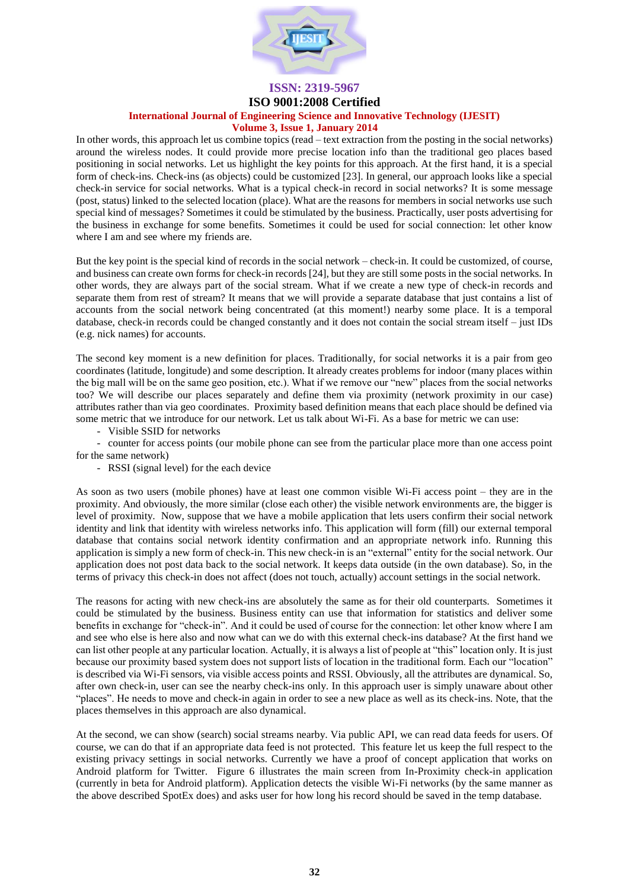

#### **ISO 9001:2008 Certified**

### **International Journal of Engineering Science and Innovative Technology (IJESIT)**

#### **Volume 3, Issue 1, January 2014**

In other words, this approach let us combine topics (read – text extraction from the posting in the social networks) around the wireless nodes. It could provide more precise location info than the traditional geo places based positioning in social networks. Let us highlight the key points for this approach. At the first hand, it is a special form of check-ins. Check-ins (as objects) could be customized [23]. In general, our approach looks like a special check-in service for social networks. What is a typical check-in record in social networks? It is some message (post, status) linked to the selected location (place). What are the reasons for members in social networks use such special kind of messages? Sometimes it could be stimulated by the business. Practically, user posts advertising for the business in exchange for some benefits. Sometimes it could be used for social connection: let other know where I am and see where my friends are.

But the key point is the special kind of records in the social network – check-in. It could be customized, of course, and business can create own forms for check-in records [24], but they are still some posts in the social networks. In other words, they are always part of the social stream. What if we create a new type of check-in records and separate them from rest of stream? It means that we will provide a separate database that just contains a list of accounts from the social network being concentrated (at this moment!) nearby some place. It is a temporal database, check-in records could be changed constantly and it does not contain the social stream itself – just IDs (e.g. nick names) for accounts.

The second key moment is a new definition for places. Traditionally, for social networks it is a pair from geo coordinates (latitude, longitude) and some description. It already creates problems for indoor (many places within the big mall will be on the same geo position, etc.). What if we remove our "new" places from the social networks too? We will describe our places separately and define them via proximity (network proximity in our case) attributes rather than via geo coordinates. Proximity based definition means that each place should be defined via some metric that we introduce for our network. Let us talk about Wi-Fi. As a base for metric we can use:

- Visible SSID for networks

- counter for access points (our mobile phone can see from the particular place more than one access point for the same network)

- RSSI (signal level) for the each device

As soon as two users (mobile phones) have at least one common visible Wi-Fi access point – they are in the proximity. And obviously, the more similar (close each other) the visible network environments are, the bigger is level of proximity. Now, suppose that we have a mobile application that lets users confirm their social network identity and link that identity with wireless networks info. This application will form (fill) our external temporal database that contains social network identity confirmation and an appropriate network info. Running this application is simply a new form of check-in. This new check-in is an "external" entity for the social network. Our application does not post data back to the social network. It keeps data outside (in the own database). So, in the terms of privacy this check-in does not affect (does not touch, actually) account settings in the social network.

The reasons for acting with new check-ins are absolutely the same as for their old counterparts. Sometimes it could be stimulated by the business. Business entity can use that information for statistics and deliver some benefits in exchange for "check-in". And it could be used of course for the connection: let other know where I am and see who else is here also and now what can we do with this external check-ins database? At the first hand we can list other people at any particular location. Actually, it is always a list of people at "this" location only. It is just because our proximity based system does not support lists of location in the traditional form. Each our "location" is described via Wi-Fi sensors, via visible access points and RSSI. Obviously, all the attributes are dynamical. So, after own check-in, user can see the nearby check-ins only. In this approach user is simply unaware about other "places". He needs to move and check-in again in order to see a new place as well as its check-ins. Note, that the places themselves in this approach are also dynamical.

At the second, we can show (search) social streams nearby. Via public API, we can read data feeds for users. Of course, we can do that if an appropriate data feed is not protected. This feature let us keep the full respect to the existing privacy settings in social networks. Currently we have a proof of concept application that works on Android platform for Twitter. Figure 6 illustrates the main screen from In-Proximity check-in application (currently in beta for Android platform). Application detects the visible Wi-Fi networks (by the same manner as the above described SpotEx does) and asks user for how long his record should be saved in the temp database.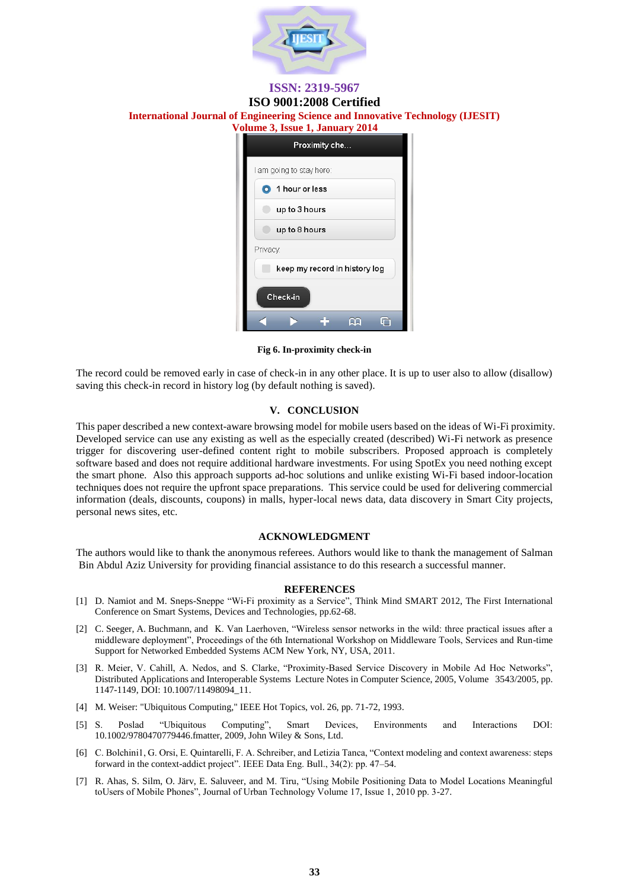

### **ISSN: 2319-5967 ISO 9001:2008 Certified**

# **International Journal of Engineering Science and Innovative Technology (IJESIT) Volume 3, Issue 1, January 2014**

| Proximity che                 |  |  |  |  |  |  |
|-------------------------------|--|--|--|--|--|--|
| I am going to stay here:      |  |  |  |  |  |  |
| 1 hour or less<br>O           |  |  |  |  |  |  |
| up to 3 hours                 |  |  |  |  |  |  |
| up to 8 hours                 |  |  |  |  |  |  |
| Privacy:                      |  |  |  |  |  |  |
| keep my record in history log |  |  |  |  |  |  |
| Check-in                      |  |  |  |  |  |  |
|                               |  |  |  |  |  |  |

**Fig 6. In-proximity check-in**

The record could be removed early in case of check-in in any other place. It is up to user also to allow (disallow) saving this check-in record in history log (by default nothing is saved).

#### **V. CONCLUSION**

This paper described a new context-aware browsing model for mobile users based on the ideas of Wi-Fi proximity. Developed service can use any existing as well as the especially created (described) Wi-Fi network as presence trigger for discovering user-defined content right to mobile subscribers. Proposed approach is completely software based and does not require additional hardware investments. For using SpotEx you need nothing except the smart phone. Also this approach supports ad-hoc solutions and unlike existing Wi-Fi based indoor-location techniques does not require the upfront space preparations. This service could be used for delivering commercial information (deals, discounts, coupons) in malls, hyper-local news data, data discovery in Smart City projects, personal news sites, etc.

#### **ACKNOWLEDGMENT**

The authors would like to thank the anonymous referees. Authors would like to thank the management of Salman Bin Abdul Aziz University for providing financial assistance to do this research a successful manner.

#### **REFERENCES**

- [1] D. Namiot and M. Sneps-Sneppe "Wi-Fi proximity as a Service", Think Mind SMART 2012, The First International Conference on Smart Systems, Devices and Technologies, pp.62-68.
- [2] C. Seeger, A. Buchmann, and K. Van Laerhoven, "Wireless sensor networks in the wild: three practical issues after a middleware deployment", Proceedings of the 6th International Workshop on Middleware Tools, Services and Run-time Support for Networked Embedded Systems ACM New York, NY, USA, 2011.
- [3] R. Meier, V. Cahill, A. Nedos, and S. Clarke, "Proximity-Based Service Discovery in Mobile Ad Hoc Networks", Distributed Applications and Interoperable Systems Lecture Notes in Computer Science, 2005, Volume 3543/2005, pp. 1147-1149, DOI: 10.1007/11498094\_11.
- [4] M. Weiser: "Ubiquitous Computing," IEEE Hot Topics, vol. 26, pp. 71-72, 1993.
- [5] S. Poslad "Ubiquitous Computing", Smart Devices, Environments and Interactions DOI: 10.1002/9780470779446.fmatter, 2009, John Wiley & Sons, Ltd.
- [6] C. Bolchini1, G. Orsi, E. Quintarelli, F. A. Schreiber, and Letizia Tanca, "Context modeling and context awareness: steps forward in the context-addict project". IEEE Data Eng. Bull., 34(2): pp. 47–54.
- [7] R. Ahas, S. Silm, O. Järv, E. Saluveer, and M. Tiru, "Using Mobile Positioning Data to Model Locations Meaningful toUsers of Mobile Phones", Journal of Urban Technology Volume 17, Issue 1, 2010 pp. 3-27.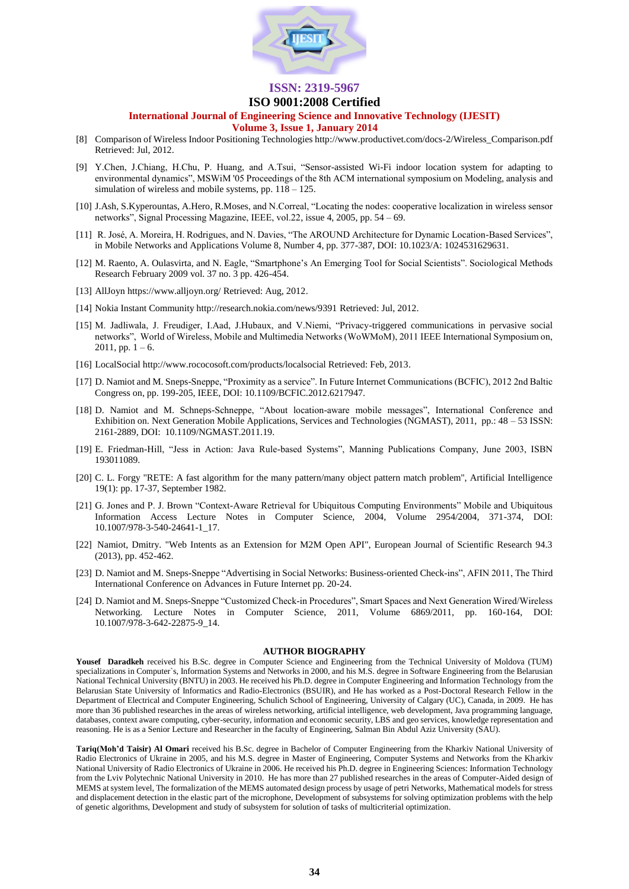

#### **ISO 9001:2008 Certified**

#### **International Journal of Engineering Science and Innovative Technology (IJESIT)**

#### **Volume 3, Issue 1, January 2014**

- [8] Comparison of Wireless Indoor Positioning Technologies http://www.productivet.com/docs-2/Wireless\_Comparison.pdf Retrieved: Jul, 2012.
- [9] Y.Chen, J.Chiang, H.Chu, P. Huang, and A.Tsui, "Sensor-assisted Wi-Fi indoor location system for adapting to environmental dynamics", MSWiM '05 Proceedings of the 8th ACM international symposium on Modeling, analysis and simulation of wireless and mobile systems, pp. 118 – 125.
- [10] J.Ash, S.Kyperountas, A.Hero, R.Moses, and N.Correal, "Locating the nodes: cooperative localization in wireless sensor networks", Signal Processing Magazine, IEEE, vol.22, issue 4, 2005, pp. 54 – 69.
- [11] R. José, A. Moreira, H. Rodrigues, and N. Davies, "The AROUND Architecture for Dynamic Location-Based Services", in Mobile Networks and Applications Volume 8, Number 4, pp. 377-387, DOI: 10.1023/A: 1024531629631.
- [12] M. Raento, A. Oulasvirta, and N. Eagle, "Smartphone's An Emerging Tool for Social Scientists". Sociological Methods Research February 2009 vol. 37 no. 3 pp. 426-454.
- [13] AllJoyn https://www.alljoyn.org/ Retrieved: Aug, 2012.
- [14] Nokia Instant Community http://research.nokia.com/news/9391 Retrieved: Jul, 2012.
- [15] M. Jadliwala, J. Freudiger, I.Aad, J.Hubaux, and V.Niemi, "Privacy-triggered communications in pervasive social networks", World of Wireless, Mobile and Multimedia Networks (WoWMoM), 2011 IEEE International Symposium on,  $2011$ , pp.  $1 - 6$ .
- [16] LocalSocial http://www.rococosoft.com/products/localsocial Retrieved: Feb, 2013.
- [17] D. Namiot and M. Sneps-Sneppe, "Proximity as a service". In Future Internet Communications (BCFIC), 2012 2nd Baltic Congress on, pp. 199-205, IEEE, DOI: 10.1109/BCFIC.2012.6217947.
- [18] D. Namiot and M. Schneps-Schneppe, "About location-aware mobile messages", International Conference and Exhibition on. Next Generation Mobile Applications, Services and Technologies (NGMAST), 2011, pp.: 48 – 53 ISSN: 2161-2889, DOI: 10.1109/NGMAST.2011.19.
- [19] E. Friedman-Hill, "Jess in Action: Java Rule-based Systems", Manning Publications Company, June 2003, ISBN 193011089.
- [20] C. L. Forgy "RETE: A fast algorithm for the many pattern/many object pattern match problem", Artificial Intelligence 19(1): pp. 17-37, September 1982.
- [21] G. Jones and P. J. Brown "Context-Aware Retrieval for Ubiquitous Computing Environments" Mobile and Ubiquitous Information Access Lecture Notes in Computer Science, 2004, Volume 2954/2004, 371-374, DOI: 10.1007/978-3-540-24641-1\_17.
- [22] Namiot, Dmitry. "Web Intents as an Extension for M2M Open API", European Journal of Scientific Research 94.3 (2013), pp. 452-462.
- [23] D. Namiot and M. Sneps-Sneppe "Advertising in Social Networks: Business-oriented Check-ins", AFIN 2011, The Third International Conference on Advances in Future Internet pp. 20-24.
- [24] D. Namiot and M. Sneps-Sneppe "Customized Check-in Procedures", Smart Spaces and Next Generation Wired/Wireless Networking. Lecture Notes in Computer Science, 2011, Volume 6869/2011, pp. 160-164, DOI: 10.1007/978-3-642-22875-9\_14.

#### **AUTHOR BIOGRAPHY**

**Yousef Daradkeh** received his B.Sc. degree in Computer Science and Engineering from the Technical University of Moldova (TUM) specializations in Computer`s, Information Systems and Networks in 2000, and his M.S. degree in Software Engineering from the Belarusian National Technical University (BNTU) in 2003. He received his Ph.D. degree in Computer Engineering and Information Technology from the Belarusian State University of Informatics and Radio-Electronics (BSUIR), and He has worked as a Post-Doctoral Research Fellow in the Department of Electrical and Computer Engineering, Schulich School of Engineering[, University of Calgary](http://www.ucalgary.ca/) (UC), Canada, in 2009. He has more than 36 published researches in the areas of wireless networking, artificial intelligence, web development, Java programming language, databases, context aware computing, cyber-security, information and economic security, LBS and geo services, knowledge representation and reasoning. He is as a Senior Lecture and Researcher in the faculty of Engineering, Salman Bin Abdul Aziz University (SAU).

**Tariq(Moh'd Taisir) Al Omari** received his B.Sc. degree in Bachelor of Computer Engineering from the Kharkiv National University of Radio Electronics of Ukraine in 2005, and his M.S. degree in Master of Engineering, Computer Systems and Networks from the Kharkiv National University of Radio Electronics of Ukraine in 2006. He received his Ph.D. degree in Engineering Sciences: Information Technology from the Lviv Polytechnic National University in 2010. He has more than 27 published researches in the areas of Computer-Aided design of MEMS at system level, The formalization of the MEMS automated design process by usage of petri Networks, Mathematical models for stress and displacement detection in the elastic part of the microphone, Development of subsystems for solving optimization problems with the help of genetic algorithms, Development and study of subsystem for solution of tasks of multicriterial optimization.